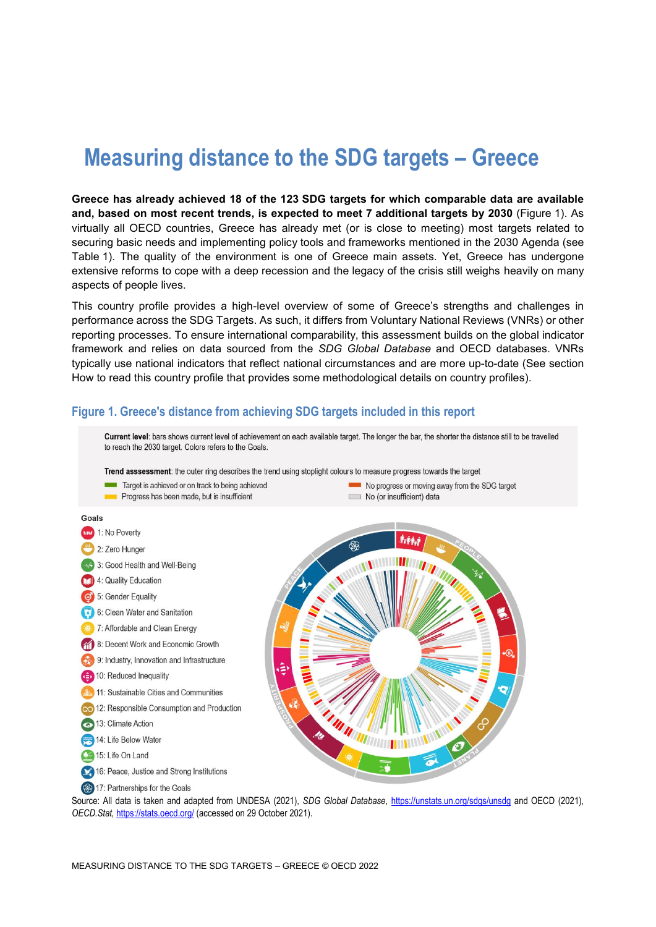# **Measuring distance to the SDG targets – Greece**

**Greece has already achieved 18 of the 123 SDG targets for which comparable data are available and, based on most recent trends, is expected to meet 7 additional targets by 2030** [\(Figure](#page-0-0) 1). As virtually all OECD countries, Greece has already met (or is close to meeting) most targets related to securing basic needs and implementing policy tools and frameworks mentioned in the 2030 Agenda (see [Table](#page-3-0) 1). The quality of the environment is one of Greece main assets. Yet, Greece has undergone extensive reforms to cope with a deep recession and the legacy of the crisis still weighs heavily on many aspects of people lives.

This country profile provides a high-level overview of some of Greece's strengths and challenges in performance across the SDG Targets. As such, it differs from Voluntary National Reviews (VNRs) or other reporting processes. To ensure international comparability, this assessment builds on the global indicator framework and relies on data sourced from the *SDG Global Database* and OECD databases. VNRs typically use national indicators that reflect national circumstances and are more up-to-date (See section [How to read this](#page-7-0) country profile that provides some methodological details on country profiles).

#### <span id="page-0-0"></span>**Figure 1. Greece's distance from achieving SDG targets included in this report**

Current level: bars shows current level of achievement on each available target. The longer the bar, the shorter the distance still to be travelled to reach the 2030 target. Colors refers to the Goals. Trend asssessment: the outer ring describes the trend using stoplight colours to measure progress towards the target Target is achieved or on track to being achieved No progress or moving away from the SDG target Progress has been made, but is insufficient No (or insufficient) data Goals **CALC** 1: No Poverty 2: Zero Hunger 3: Good Health and Well-Being 4: Quality Education 5: Gender Equality 6: Clean Water and Sanitation 3 7: Affordable and Clean Energy 8: Decent Work and Economic Growth 9: Industry, Innovation and Infrastructure 10: Reduced Inequality 11: Sustainable Cities and Communities 12: Responsible Consumption and Production **8** 13: Climate Action 14: Life Below Water 15: Life On Land 16: Peace, Justice and Strong Institutions 17: Partnerships for the Goals

Source: All data is taken and adapted from UNDESA (2021), *SDG Global Database*,<https://unstats.un.org/sdgs/unsdg> and OECD (2021), *OECD.Stat,* <https://stats.oecd.org/> (accessed on 29 October 2021).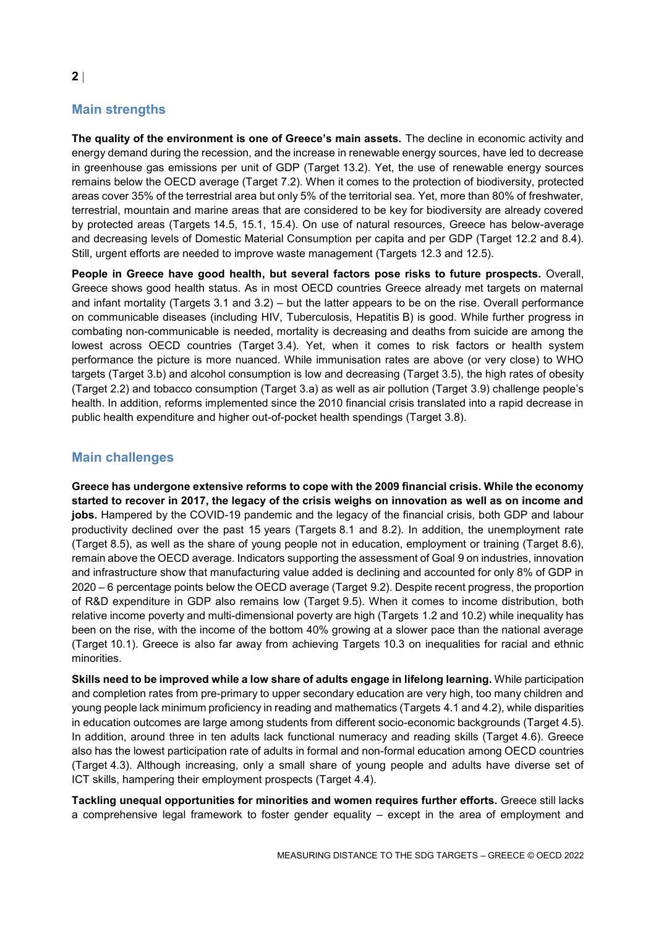# **Main strengths**

**The quality of the environment is one of Greece's main assets.** The decline in economic activity and energy demand during the recession, and the increase in renewable energy sources, have led to decrease in greenhouse gas emissions per unit of GDP (Target 13.2). Yet, the use of renewable energy sources remains below the OECD average (Target 7.2). When it comes to the protection of biodiversity, protected areas cover 35% of the terrestrial area but only 5% of the territorial sea. Yet, more than 80% of freshwater, terrestrial, mountain and marine areas that are considered to be key for biodiversity are already covered by protected areas (Targets 14.5, 15.1, 15.4). On use of natural resources, Greece has below-average and decreasing levels of Domestic Material Consumption per capita and per GDP (Target 12.2 and 8.4). Still, urgent efforts are needed to improve waste management (Targets 12.3 and 12.5).

**People in Greece have good health, but several factors pose risks to future prospects.** Overall, Greece shows good health status. As in most OECD countries Greece already met targets on maternal and infant mortality (Targets 3.1 and 3.2) – but the latter appears to be on the rise. Overall performance on communicable diseases (including HIV, Tuberculosis, Hepatitis B) is good. While further progress in combating non-communicable is needed, mortality is decreasing and deaths from suicide are among the lowest across OECD countries (Target 3.4). Yet, when it comes to risk factors or health system performance the picture is more nuanced. While immunisation rates are above (or very close) to WHO targets (Target 3.b) and alcohol consumption is low and decreasing (Target 3.5), the high rates of obesity (Target 2.2) and tobacco consumption (Target 3.a) as well as air pollution (Target 3.9) challenge people's health. In addition, reforms implemented since the 2010 financial crisis translated into a rapid decrease in public health expenditure and higher out-of-pocket health spendings (Target 3.8).

## **Main challenges**

**Greece has undergone extensive reforms to cope with the 2009 financial crisis. While the economy started to recover in 2017, the legacy of the crisis weighs on innovation as well as on income and jobs.** Hampered by the COVID-19 pandemic and the legacy of the financial crisis, both GDP and labour productivity declined over the past 15 years (Targets 8.1 and 8.2). In addition, the unemployment rate (Target 8.5), as well as the share of young people not in education, employment or training (Target 8.6), remain above the OECD average. Indicators supporting the assessment of Goal 9 on industries, innovation and infrastructure show that manufacturing value added is declining and accounted for only 8% of GDP in 2020 – 6 percentage points below the OECD average (Target 9.2). Despite recent progress, the proportion of R&D expenditure in GDP also remains low (Target 9.5). When it comes to income distribution, both relative income poverty and multi-dimensional poverty are high (Targets 1.2 and 10.2) while inequality has been on the rise, with the income of the bottom 40% growing at a slower pace than the national average (Target 10.1). Greece is also far away from achieving Targets 10.3 on inequalities for racial and ethnic minorities.

**Skills need to be improved while a low share of adults engage in lifelong learning.** While participation and completion rates from pre-primary to upper secondary education are very high, too many children and young people lack minimum proficiency in reading and mathematics (Targets 4.1 and 4.2), while disparities in education outcomes are large among students from different socio-economic backgrounds (Target 4.5). In addition, around three in ten adults lack functional numeracy and reading skills (Target 4.6). Greece also has the lowest participation rate of adults in formal and non-formal education among OECD countries (Target 4.3). Although increasing, only a small share of young people and adults have diverse set of ICT skills, hampering their employment prospects (Target 4.4).

**Tackling unequal opportunities for minorities and women requires further efforts.** Greece still lacks a comprehensive legal framework to foster gender equality – except in the area of employment and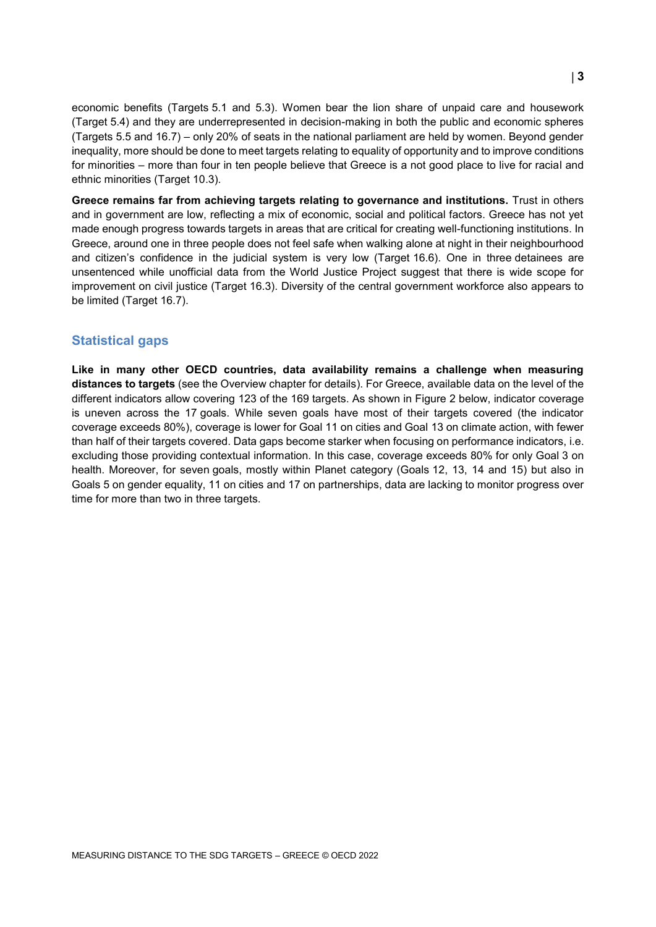economic benefits (Targets 5.1 and 5.3). Women bear the lion share of unpaid care and housework (Target 5.4) and they are underrepresented in decision-making in both the public and economic spheres (Targets 5.5 and 16.7) – only 20% of seats in the national parliament are held by women. Beyond gender inequality, more should be done to meet targets relating to equality of opportunity and to improve conditions for minorities – more than four in ten people believe that Greece is a not good place to live for racial and ethnic minorities (Target 10.3).

**Greece remains far from achieving targets relating to governance and institutions.** Trust in others and in government are low, reflecting a mix of economic, social and political factors. Greece has not yet made enough progress towards targets in areas that are critical for creating well-functioning institutions. In Greece, around one in three people does not feel safe when walking alone at night in their neighbourhood and citizen's confidence in the judicial system is very low (Target 16.6). One in three detainees are unsentenced while unofficial data from the World Justice Project suggest that there is wide scope for improvement on civil justice (Target 16.3). Diversity of the central government workforce also appears to be limited (Target 16.7).

## **Statistical gaps**

**Like in many other OECD countries, data availability remains a challenge when measuring distances to targets** (see the Overview chapter for details). For Greece, available data on the level of the different indicators allow covering 123 of the 169 targets. As shown in [Figure](#page-3-1) 2 below, indicator coverage is uneven across the 17 goals. While seven goals have most of their targets covered (the indicator coverage exceeds 80%), coverage is lower for Goal 11 on cities and Goal 13 on climate action, with fewer than half of their targets covered. Data gaps become starker when focusing on performance indicators, i.e. excluding those providing contextual information. In this case, coverage exceeds 80% for only Goal 3 on health. Moreover, for seven goals, mostly within Planet category (Goals 12, 13, 14 and 15) but also in Goals 5 on gender equality, 11 on cities and 17 on partnerships, data are lacking to monitor progress over time for more than two in three targets.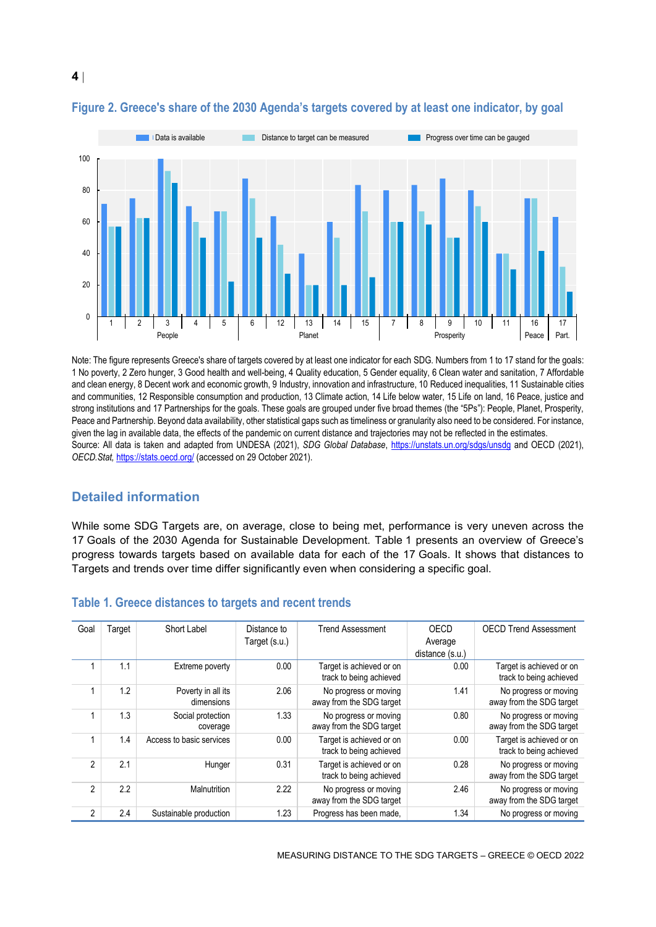

# <span id="page-3-1"></span>**Figure 2. Greece's share of the 2030 Agenda's targets covered by at least one indicator, by goal**

Note: The figure represents Greece's share of targets covered by at least one indicator for each SDG. Numbers from 1 to 17 stand for the goals: 1 No poverty, 2 Zero hunger, 3 Good health and well-being, 4 Quality education, 5 Gender equality, 6 Clean water and sanitation, 7 Affordable and clean energy, 8 Decent work and economic growth, 9 Industry, innovation and infrastructure, 10 Reduced inequalities, 11 Sustainable cities and communities, 12 Responsible consumption and production, 13 Climate action, 14 Life below water, 15 Life on land, 16 Peace, justice and strong institutions and 17 Partnerships for the goals. These goals are grouped under five broad themes (the "5Ps"): People, Planet, Prosperity, Peace and Partnership. Beyond data availability, other statistical gaps such as timeliness or granularity also need to be considered. For instance, given the lag in available data, the effects of the pandemic on current distance and trajectories may not be reflected in the estimates. Source: All data is taken and adapted from UNDESA (2021), *SDG Global Database*,<https://unstats.un.org/sdgs/unsdg> and OECD (2021), *OECD.Stat,* <https://stats.oecd.org/> (accessed on 29 October 2021).

# **Detailed information**

While some SDG Targets are, on average, close to being met, performance is very uneven across the 17 Goals of the 2030 Agenda for Sustainable Development. [Table](#page-3-0) 1 presents an overview of Greece's progress towards targets based on available data for each of the 17 Goals. It shows that distances to Targets and trends over time differ significantly even when considering a specific goal.

| Goal           | Target | Short Label              | Distance to   | <b>Trend Assessment</b>  | OECD            | <b>OECD Trend Assessment</b> |
|----------------|--------|--------------------------|---------------|--------------------------|-----------------|------------------------------|
|                |        |                          | Target (s.u.) |                          | Average         |                              |
|                |        |                          |               |                          | distance (s.u.) |                              |
|                | 1.1    | Extreme poverty          | 0.00          | Target is achieved or on | 0.00            | Target is achieved or on     |
|                |        |                          |               | track to being achieved  |                 | track to being achieved      |
|                | 1.2    | Poverty in all its       | 2.06          | No progress or moving    | 1.41            | No progress or moving        |
|                |        | dimensions               |               | away from the SDG target |                 | away from the SDG target     |
|                | 1.3    | Social protection        | 1.33          | No progress or moving    | 0.80            | No progress or moving        |
|                |        | coverage                 |               | away from the SDG target |                 | away from the SDG target     |
|                | 1.4    | Access to basic services | 0.00          | Target is achieved or on | 0.00            | Target is achieved or on     |
|                |        |                          |               | track to being achieved  |                 | track to being achieved      |
| $\mathfrak{p}$ | 2.1    | Hunger                   | 0.31          | Target is achieved or on | 0.28            | No progress or moving        |
|                |        |                          |               | track to being achieved  |                 | away from the SDG target     |
| 2              | 2.2    | Malnutrition             | 2.22          | No progress or moving    | 2.46            | No progress or moving        |
|                |        |                          |               | away from the SDG target |                 | away from the SDG target     |
| 2              | 2.4    | Sustainable production   | 1.23          | Progress has been made,  | 1.34            | No progress or moving        |

#### <span id="page-3-0"></span>**Table 1. Greece distances to targets and recent trends**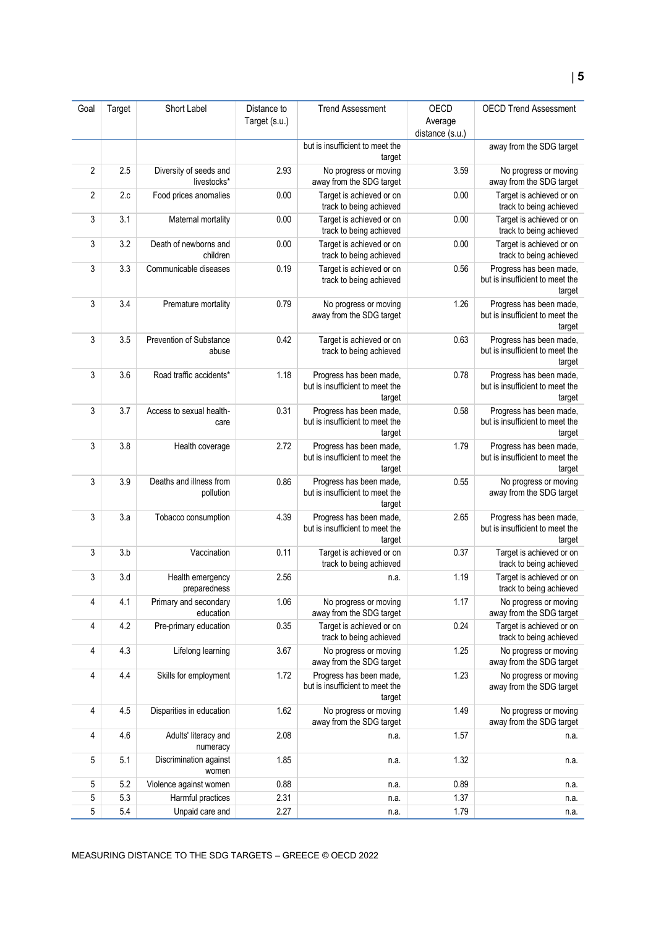| Goal           | Target | Short Label                           | Distance to   | <b>Trend Assessment</b>                                              | OECD            | <b>OECD Trend Assessment</b>                                         |
|----------------|--------|---------------------------------------|---------------|----------------------------------------------------------------------|-----------------|----------------------------------------------------------------------|
|                |        |                                       | Target (s.u.) |                                                                      | Average         |                                                                      |
|                |        |                                       |               |                                                                      | distance (s.u.) |                                                                      |
|                |        |                                       |               | but is insufficient to meet the<br>target                            |                 | away from the SDG target                                             |
| $\overline{2}$ | 2.5    | Diversity of seeds and<br>livestocks* | 2.93          | No progress or moving<br>away from the SDG target                    | 3.59            | No progress or moving<br>away from the SDG target                    |
| 2              | 2.c    | Food prices anomalies                 | 0.00          | Target is achieved or on<br>track to being achieved                  | 0.00            | Target is achieved or on<br>track to being achieved                  |
| 3              | 3.1    | Maternal mortality                    | 0.00          | Target is achieved or on<br>track to being achieved                  | 0.00            | Target is achieved or on<br>track to being achieved                  |
| 3              | 3.2    | Death of newborns and<br>children     | 0.00          | Target is achieved or on<br>track to being achieved                  | 0.00            | Target is achieved or on<br>track to being achieved                  |
| 3              | 3.3    | Communicable diseases                 | 0.19          | Target is achieved or on<br>track to being achieved                  | 0.56            | Progress has been made,<br>but is insufficient to meet the<br>target |
| 3              | 3.4    | Premature mortality                   | 0.79          | No progress or moving<br>away from the SDG target                    | 1.26            | Progress has been made,<br>but is insufficient to meet the<br>target |
| 3              | 3.5    | Prevention of Substance<br>abuse      | 0.42          | Target is achieved or on<br>track to being achieved                  | 0.63            | Progress has been made,<br>but is insufficient to meet the<br>target |
| 3              | 3.6    | Road traffic accidents*               | 1.18          | Progress has been made,<br>but is insufficient to meet the<br>target | 0.78            | Progress has been made,<br>but is insufficient to meet the<br>target |
| 3              | 3.7    | Access to sexual health-<br>care      | 0.31          | Progress has been made,<br>but is insufficient to meet the<br>target | 0.58            | Progress has been made,<br>but is insufficient to meet the<br>target |
| 3              | 3.8    | Health coverage                       | 2.72          | Progress has been made,<br>but is insufficient to meet the<br>target | 1.79            | Progress has been made,<br>but is insufficient to meet the<br>target |
| 3              | 3.9    | Deaths and illness from<br>pollution  | 0.86          | Progress has been made,<br>but is insufficient to meet the<br>target | 0.55            | No progress or moving<br>away from the SDG target                    |
| 3              | 3.a    | Tobacco consumption                   | 4.39          | Progress has been made,<br>but is insufficient to meet the<br>target | 2.65            | Progress has been made,<br>but is insufficient to meet the<br>target |
| 3              | 3.b    | Vaccination                           | 0.11          | Target is achieved or on<br>track to being achieved                  | 0.37            | Target is achieved or on<br>track to being achieved                  |
| 3              | 3.d    | Health emergency<br>preparedness      | 2.56          | n.a.                                                                 | 1.19            | Target is achieved or on<br>track to being achieved                  |
| 4              | 4.1    | Primary and secondary<br>education    | 1.06          | No progress or moving<br>away from the SDG target                    | 1.17            | No progress or moving<br>away from the SDG target                    |
| 4              | 4.2    | Pre-primary education                 | 0.35          | Target is achieved or on<br>track to being achieved                  | 0.24            | Target is achieved or on<br>track to being achieved                  |
| 4              | 4.3    | Lifelong learning                     | 3.67          | No progress or moving<br>away from the SDG target                    | 1.25            | No progress or moving<br>away from the SDG target                    |
| 4              | 4.4    | Skills for employment                 | 1.72          | Progress has been made,<br>but is insufficient to meet the<br>target | 1.23            | No progress or moving<br>away from the SDG target                    |
| 4              | 4.5    | Disparities in education              | 1.62          | No progress or moving<br>away from the SDG target                    | 1.49            | No progress or moving<br>away from the SDG target                    |
| 4              | 4.6    | Adults' literacy and<br>numeracy      | 2.08          | n.a.                                                                 | 1.57            | n.a.                                                                 |
| 5              | 5.1    | Discrimination against<br>women       | 1.85          | n.a.                                                                 | 1.32            | n.a.                                                                 |
| 5              | 5.2    | Violence against women                | 0.88          | n.a.                                                                 | 0.89            | n.a.                                                                 |
| 5              | 5.3    | Harmful practices                     | 2.31          | n.a.                                                                 | 1.37            | n.a.                                                                 |
| 5              | 5.4    | Unpaid care and                       | 2.27          | n.a.                                                                 | 1.79            | n.a.                                                                 |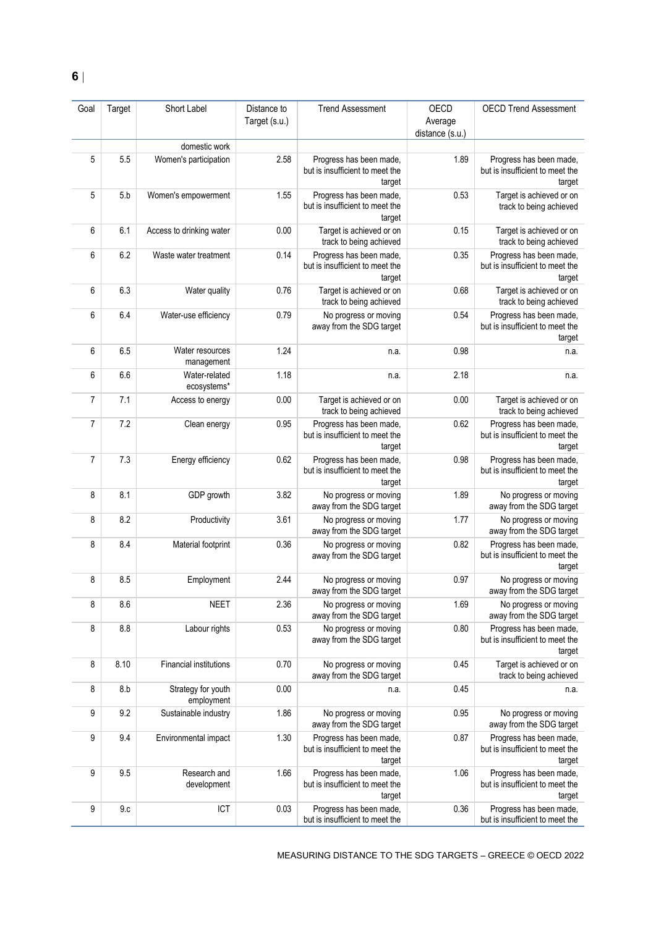| Goal           | Target | Short Label                      | Distance to   | <b>Trend Assessment</b>                                              | OECD                       | <b>OECD Trend Assessment</b>                                         |
|----------------|--------|----------------------------------|---------------|----------------------------------------------------------------------|----------------------------|----------------------------------------------------------------------|
|                |        |                                  | Target (s.u.) |                                                                      | Average<br>distance (s.u.) |                                                                      |
|                |        | domestic work                    |               |                                                                      |                            |                                                                      |
| 5              | 5.5    | Women's participation            | 2.58          | Progress has been made,<br>but is insufficient to meet the<br>target | 1.89                       | Progress has been made,<br>but is insufficient to meet the<br>target |
| 5              | 5.b    | Women's empowerment              | 1.55          | Progress has been made,<br>but is insufficient to meet the<br>target | 0.53                       | Target is achieved or on<br>track to being achieved                  |
| 6              | 6.1    | Access to drinking water         | 0.00          | Target is achieved or on<br>track to being achieved                  | 0.15                       | Target is achieved or on<br>track to being achieved                  |
| 6              | 6.2    | Waste water treatment            | 0.14          | Progress has been made,<br>but is insufficient to meet the<br>target | 0.35                       | Progress has been made,<br>but is insufficient to meet the<br>target |
| 6              | 6.3    | Water quality                    | 0.76          | Target is achieved or on<br>track to being achieved                  | 0.68                       | Target is achieved or on<br>track to being achieved                  |
| 6              | 6.4    | Water-use efficiency             | 0.79          | No progress or moving<br>away from the SDG target                    | 0.54                       | Progress has been made,<br>but is insufficient to meet the<br>target |
| 6              | 6.5    | Water resources<br>management    | 1.24          | n.a.                                                                 | 0.98                       | n.a.                                                                 |
| 6              | 6.6    | Water-related<br>ecosystems*     | 1.18          | n.a.                                                                 | 2.18                       | n.a.                                                                 |
| 7              | 7.1    | Access to energy                 | 0.00          | Target is achieved or on<br>track to being achieved                  | 0.00                       | Target is achieved or on<br>track to being achieved                  |
| 7              | 7.2    | Clean energy                     | 0.95          | Progress has been made,<br>but is insufficient to meet the<br>target | 0.62                       | Progress has been made,<br>but is insufficient to meet the<br>target |
| $\overline{7}$ | 7.3    | Energy efficiency                | 0.62          | Progress has been made,<br>but is insufficient to meet the<br>target | 0.98                       | Progress has been made,<br>but is insufficient to meet the<br>target |
| 8              | 8.1    | GDP growth                       | 3.82          | No progress or moving<br>away from the SDG target                    | 1.89                       | No progress or moving<br>away from the SDG target                    |
| 8              | 8.2    | Productivity                     | 3.61          | No progress or moving<br>away from the SDG target                    | 1.77                       | No progress or moving<br>away from the SDG target                    |
| 8              | 8.4    | Material footprint               | 0.36          | No progress or moving<br>away from the SDG target                    | 0.82                       | Progress has been made,<br>but is insufficient to meet the<br>target |
| 8              | 8.5    | Employment                       | 2.44          | No progress or moving<br>away from the SDG target                    | 0.97                       | No progress or moving<br>away from the SDG target                    |
| 8              | 8.6    | <b>NEET</b>                      | 2.36          | No progress or moving<br>away from the SDG target                    | 1.69                       | No progress or moving<br>away from the SDG target                    |
| 8              | 8.8    | Labour rights                    | 0.53          | No progress or moving<br>away from the SDG target                    | 0.80                       | Progress has been made,<br>but is insufficient to meet the<br>target |
| 8              | 8.10   | <b>Financial institutions</b>    | 0.70          | No progress or moving<br>away from the SDG target                    | 0.45                       | Target is achieved or on<br>track to being achieved                  |
| 8              | 8.b    | Strategy for youth<br>employment | 0.00          | n.a.                                                                 | 0.45                       | n.a.                                                                 |
| 9              | 9.2    | Sustainable industry             | 1.86          | No progress or moving<br>away from the SDG target                    | 0.95                       | No progress or moving<br>away from the SDG target                    |
| 9              | 9.4    | Environmental impact             | 1.30          | Progress has been made,<br>but is insufficient to meet the<br>target | 0.87                       | Progress has been made,<br>but is insufficient to meet the<br>target |
| 9              | 9.5    | Research and<br>development      | 1.66          | Progress has been made,<br>but is insufficient to meet the<br>target | 1.06                       | Progress has been made,<br>but is insufficient to meet the<br>target |
| 9              | 9.c    | ICT                              | 0.03          | Progress has been made,<br>but is insufficient to meet the           | 0.36                       | Progress has been made,<br>but is insufficient to meet the           |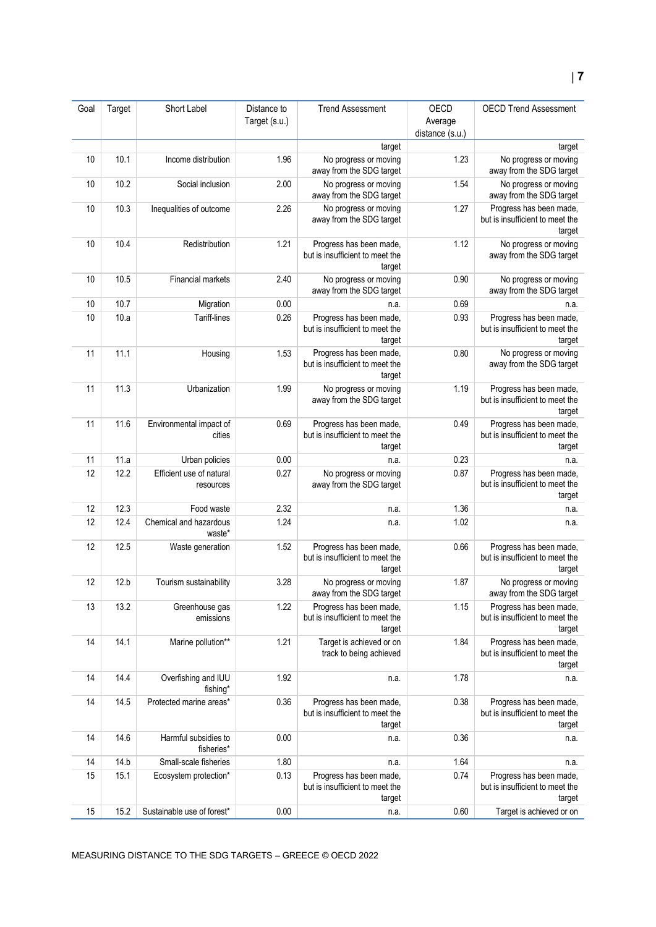| Goal | Target | Short Label                           | Distance to   | <b>Trend Assessment</b>                                              | OECD                       | <b>OECD Trend Assessment</b>                                         |
|------|--------|---------------------------------------|---------------|----------------------------------------------------------------------|----------------------------|----------------------------------------------------------------------|
|      |        |                                       | Target (s.u.) |                                                                      | Average<br>distance (s.u.) |                                                                      |
|      |        |                                       |               | target                                                               |                            | target                                                               |
| 10   | 10.1   | Income distribution                   | 1.96          | No progress or moving<br>away from the SDG target                    | 1.23                       | No progress or moving<br>away from the SDG target                    |
| 10   | 10.2   | Social inclusion                      | 2.00          | No progress or moving<br>away from the SDG target                    | 1.54                       | No progress or moving<br>away from the SDG target                    |
| 10   | 10.3   | Inequalities of outcome               | 2.26          | No progress or moving<br>away from the SDG target                    | 1.27                       | Progress has been made,<br>but is insufficient to meet the<br>target |
| 10   | 10.4   | Redistribution                        | 1.21          | Progress has been made,<br>but is insufficient to meet the<br>target | 1.12                       | No progress or moving<br>away from the SDG target                    |
| 10   | 10.5   | Financial markets                     | 2.40          | No progress or moving<br>away from the SDG target                    | 0.90                       | No progress or moving<br>away from the SDG target                    |
| 10   | 10.7   | Migration                             | 0.00          | n.a.                                                                 | 0.69                       | n.a.                                                                 |
| 10   | 10.a   | Tariff-lines                          | 0.26          | Progress has been made,<br>but is insufficient to meet the<br>target | 0.93                       | Progress has been made,<br>but is insufficient to meet the<br>target |
| 11   | 11.1   | Housing                               | 1.53          | Progress has been made,<br>but is insufficient to meet the<br>target | 0.80                       | No progress or moving<br>away from the SDG target                    |
| 11   | 11.3   | Urbanization                          | 1.99          | No progress or moving<br>away from the SDG target                    | 1.19                       | Progress has been made,<br>but is insufficient to meet the<br>target |
| 11   | 11.6   | Environmental impact of<br>cities     | 0.69          | Progress has been made,<br>but is insufficient to meet the<br>target | 0.49                       | Progress has been made,<br>but is insufficient to meet the<br>target |
| 11   | 11.a   | Urban policies                        | 0.00          | n.a.                                                                 | 0.23                       | n.a.                                                                 |
| 12   | 12.2   | Efficient use of natural<br>resources | 0.27          | No progress or moving<br>away from the SDG target                    | 0.87                       | Progress has been made,<br>but is insufficient to meet the<br>target |
| 12   | 12.3   | Food waste                            | 2.32          | n.a.                                                                 | 1.36                       | n.a.                                                                 |
| 12   | 12.4   | Chemical and hazardous<br>waste*      | 1.24          | n.a.                                                                 | 1.02                       | n.a.                                                                 |
| 12   | 12.5   | Waste generation                      | 1.52          | Progress has been made,<br>but is insufficient to meet the<br>target | 0.66                       | Progress has been made,<br>but is insufficient to meet the<br>target |
| 12   | 12.b   | Tourism sustainability                | 3.28          | No progress or moving<br>away from the SDG target                    | 1.87                       | No progress or moving<br>away from the SDG target                    |
| 13   | 13.2   | Greenhouse gas<br>emissions           | 1.22          | Progress has been made,<br>but is insufficient to meet the<br>target | 1.15                       | Progress has been made,<br>but is insufficient to meet the<br>target |
| 14   | 14.1   | Marine pollution**                    | 1.21          | Target is achieved or on<br>track to being achieved                  | 1.84                       | Progress has been made,<br>but is insufficient to meet the<br>target |
| 14   | 14.4   | Overfishing and IUU<br>fishing*       | 1.92          | n.a.                                                                 | 1.78                       | n.a.                                                                 |
| 14   | 14.5   | Protected marine areas*               | 0.36          | Progress has been made,<br>but is insufficient to meet the<br>target | 0.38                       | Progress has been made,<br>but is insufficient to meet the<br>target |
| 14   | 14.6   | Harmful subsidies to<br>fisheries*    | 0.00          | n.a.                                                                 | 0.36                       | n.a.                                                                 |
| 14   | 14.b   | Small-scale fisheries                 | 1.80          | n.a.                                                                 | 1.64                       | n.a.                                                                 |
| 15   | 15.1   | Ecosystem protection*                 | 0.13          | Progress has been made,<br>but is insufficient to meet the<br>target | 0.74                       | Progress has been made,<br>but is insufficient to meet the<br>target |
| 15   | 15.2   | Sustainable use of forest*            | 0.00          | n.a.                                                                 | 0.60                       | Target is achieved or on                                             |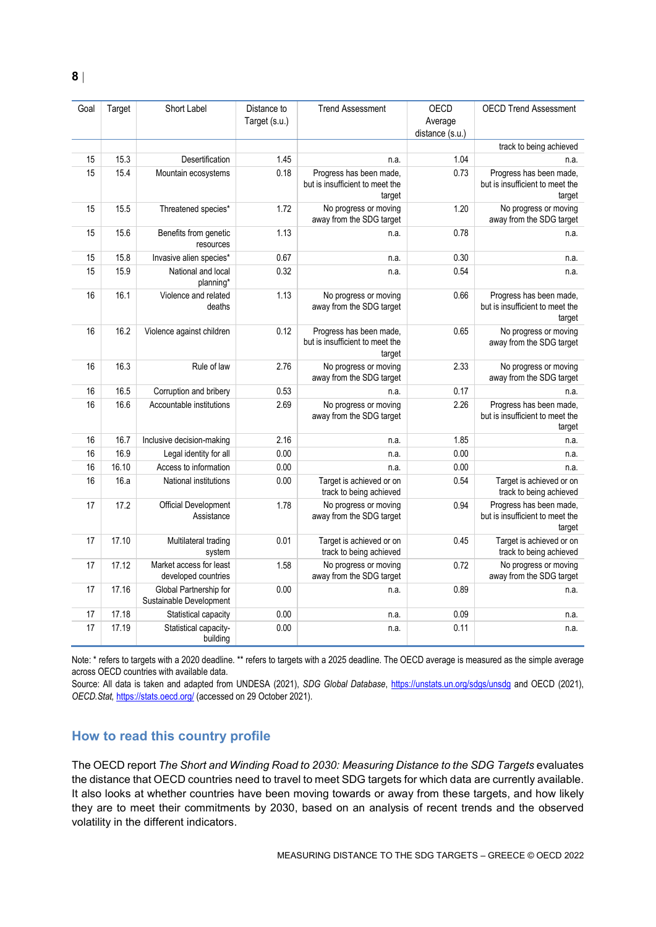| Goal | Target | Short Label                                       | Distance to<br>Target (s.u.) | <b>Trend Assessment</b>                                              | OECD<br>Average | <b>OECD Trend Assessment</b>                                         |
|------|--------|---------------------------------------------------|------------------------------|----------------------------------------------------------------------|-----------------|----------------------------------------------------------------------|
|      |        |                                                   |                              |                                                                      | distance (s.u.) | track to being achieved                                              |
| 15   | 15.3   | Desertification                                   | 1.45                         | n.a.                                                                 | 1.04            | n.a.                                                                 |
| 15   | 15.4   | Mountain ecosystems                               | 0.18                         | Progress has been made,<br>but is insufficient to meet the<br>target | 0.73            | Progress has been made,<br>but is insufficient to meet the<br>target |
| 15   | 15.5   | Threatened species*                               | 1.72                         | No progress or moving<br>away from the SDG target                    | 1.20            | No progress or moving<br>away from the SDG target                    |
| 15   | 15.6   | Benefits from genetic<br>resources                | 1.13                         | n.a.                                                                 | 0.78            | n.a.                                                                 |
| 15   | 15.8   | Invasive alien species*                           | 0.67                         | n.a.                                                                 | 0.30            | n.a.                                                                 |
| 15   | 15.9   | National and local<br>planning*                   | 0.32                         | n.a.                                                                 | 0.54            | n.a.                                                                 |
| 16   | 16.1   | Violence and related<br>deaths                    | 1.13                         | No progress or moving<br>away from the SDG target                    | 0.66            | Progress has been made,<br>but is insufficient to meet the<br>target |
| 16   | 16.2   | Violence against children                         | 0.12                         | Progress has been made,<br>but is insufficient to meet the<br>target | 0.65            | No progress or moving<br>away from the SDG target                    |
| 16   | 16.3   | Rule of law                                       | 2.76                         | No progress or moving<br>away from the SDG target                    | 2.33            | No progress or moving<br>away from the SDG target                    |
| 16   | 16.5   | Corruption and bribery                            | 0.53                         | n.a.                                                                 | 0.17            | n.a.                                                                 |
| 16   | 16.6   | Accountable institutions                          | 2.69                         | No progress or moving<br>away from the SDG target                    | 2.26            | Progress has been made,<br>but is insufficient to meet the<br>target |
| 16   | 16.7   | Inclusive decision-making                         | 2.16                         | n.a.                                                                 | 1.85            | n.a.                                                                 |
| 16   | 16.9   | Legal identity for all                            | 0.00                         | n.a.                                                                 | 0.00            | n.a.                                                                 |
| 16   | 16.10  | Access to information                             | 0.00                         | n.a.                                                                 | 0.00            | n.a.                                                                 |
| 16   | 16.a   | National institutions                             | 0.00                         | Target is achieved or on<br>track to being achieved                  | 0.54            | Target is achieved or on<br>track to being achieved                  |
| 17   | 17.2   | Official Development<br>Assistance                | 1.78                         | No progress or moving<br>away from the SDG target                    | 0.94            | Progress has been made,<br>but is insufficient to meet the<br>target |
| 17   | 17.10  | Multilateral trading<br>system                    | 0.01                         | Target is achieved or on<br>track to being achieved                  | 0.45            | Target is achieved or on<br>track to being achieved                  |
| 17   | 17.12  | Market access for least<br>developed countries    | 1.58                         | No progress or moving<br>away from the SDG target                    | 0.72            | No progress or moving<br>away from the SDG target                    |
| 17   | 17.16  | Global Partnership for<br>Sustainable Development | 0.00                         | n.a.                                                                 | 0.89            | n.a.                                                                 |
| 17   | 17.18  | Statistical capacity                              | 0.00                         | n.a.                                                                 | 0.09            | n.a.                                                                 |
| 17   | 17.19  | Statistical capacity-<br>building                 | 0.00                         | n.a.                                                                 | 0.11            | n.a.                                                                 |

Note: \* refers to targets with a 2020 deadline. \*\* refers to targets with a 2025 deadline. The OECD average is measured as the simple average across OECD countries with available data.

Source: All data is taken and adapted from UNDESA (2021), *SDG Global Database*,<https://unstats.un.org/sdgs/unsdg> and OECD (2021), *OECD.Stat,* <https://stats.oecd.org/> (accessed on 29 October 2021).

# <span id="page-7-0"></span>**How to read this country profile**

The OECD report *The Short and Winding Road to 2030: Measuring Distance to the SDG Targets* evaluates the distance that OECD countries need to travel to meet SDG targets for which data are currently available. It also looks at whether countries have been moving towards or away from these targets, and how likely they are to meet their commitments by 2030, based on an analysis of recent trends and the observed volatility in the different indicators.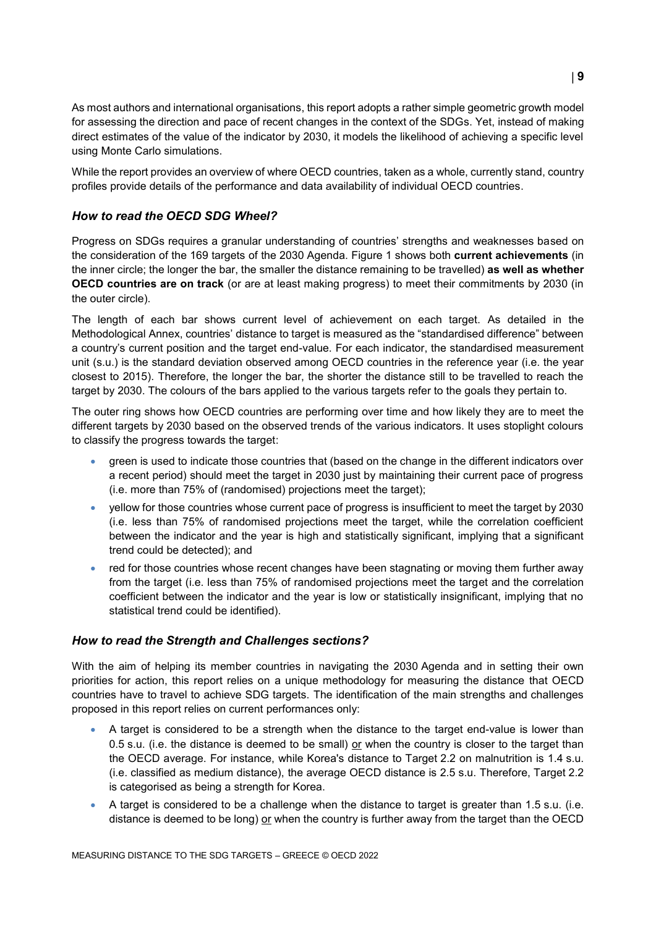As most authors and international organisations, this report adopts a rather simple geometric growth model for assessing the direction and pace of recent changes in the context of the SDGs. Yet, instead of making direct estimates of the value of the indicator by 2030, it models the likelihood of achieving a specific level using Monte Carlo simulations.

While the report provides an overview of where OECD countries, taken as a whole, currently stand, country profiles provide details of the performance and data availability of individual OECD countries.

## *How to read the OECD SDG Wheel?*

Progress on SDGs requires a granular understanding of countries' strengths and weaknesses based on the consideration of the 169 targets of the 2030 Agenda. [Figure](#page-0-0) 1 shows both **current achievements** (in the inner circle; the longer the bar, the smaller the distance remaining to be travelled) **as well as whether OECD countries are on track** (or are at least making progress) to meet their commitments by 2030 (in the outer circle).

The length of each bar shows current level of achievement on each target. As detailed in the Methodological Annex, countries' distance to target is measured as the "standardised difference" between a country's current position and the target end-value. For each indicator, the standardised measurement unit (s.u.) is the standard deviation observed among OECD countries in the reference year (i.e. the year closest to 2015). Therefore, the longer the bar, the shorter the distance still to be travelled to reach the target by 2030. The colours of the bars applied to the various targets refer to the goals they pertain to.

The outer ring shows how OECD countries are performing over time and how likely they are to meet the different targets by 2030 based on the observed trends of the various indicators. It uses stoplight colours to classify the progress towards the target:

- green is used to indicate those countries that (based on the change in the different indicators over a recent period) should meet the target in 2030 just by maintaining their current pace of progress (i.e. more than 75% of (randomised) projections meet the target);
- yellow for those countries whose current pace of progress is insufficient to meet the target by 2030 (i.e. less than 75% of randomised projections meet the target, while the correlation coefficient between the indicator and the year is high and statistically significant, implying that a significant trend could be detected); and
- red for those countries whose recent changes have been stagnating or moving them further away from the target (i.e. less than 75% of randomised projections meet the target and the correlation coefficient between the indicator and the year is low or statistically insignificant, implying that no statistical trend could be identified).

## *How to read the Strength and Challenges sections?*

With the aim of helping its member countries in navigating the 2030 Agenda and in setting their own priorities for action, this report relies on a unique methodology for measuring the distance that OECD countries have to travel to achieve SDG targets. The identification of the main strengths and challenges proposed in this report relies on current performances only:

- A target is considered to be a strength when the distance to the target end-value is lower than 0.5 s.u. (i.e. the distance is deemed to be small) or when the country is closer to the target than the OECD average. For instance, while Korea's distance to Target 2.2 on malnutrition is 1.4 s.u. (i.e. classified as medium distance), the average OECD distance is 2.5 s.u. Therefore, Target 2.2 is categorised as being a strength for Korea.
- A target is considered to be a challenge when the distance to target is greater than 1.5 s.u. (i.e. distance is deemed to be long) or when the country is further away from the target than the OECD